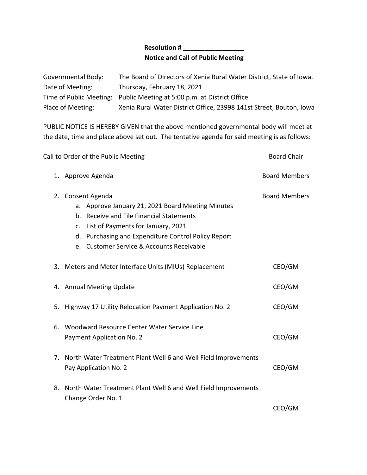## **Resolution # \_\_\_\_\_\_\_\_\_\_\_\_\_\_\_\_\_ Notice and Call of Public Meeting**

| Governmental Body: | The Board of Directors of Xenia Rural Water District, State of Iowa.   |
|--------------------|------------------------------------------------------------------------|
| Date of Meeting:   | Thursday, February 18, 2021                                            |
|                    | Time of Public Meeting: Public Meeting at 5:00 p.m. at District Office |
| Place of Meeting:  | Xenia Rural Water District Office, 23998 141st Street, Bouton, Iowa    |

PUBLIC NOTICE IS HEREBY GIVEN that the above mentioned governmental body will meet at the date, time and place above set out. The tentative agenda for said meeting is as follows:

| Call to Order of the Public Meeting |                                                                                                                                                                                                                                                                 | <b>Board Chair</b>   |
|-------------------------------------|-----------------------------------------------------------------------------------------------------------------------------------------------------------------------------------------------------------------------------------------------------------------|----------------------|
|                                     | 1. Approve Agenda                                                                                                                                                                                                                                               | <b>Board Members</b> |
|                                     | 2. Consent Agenda<br>a. Approve January 21, 2021 Board Meeting Minutes<br>b. Receive and File Financial Statements<br>c. List of Payments for January, 2021<br>d. Purchasing and Expenditure Control Policy Report<br>e. Customer Service & Accounts Receivable | <b>Board Members</b> |
|                                     | 3. Meters and Meter Interface Units (MIUs) Replacement                                                                                                                                                                                                          | CEO/GM               |
|                                     | 4. Annual Meeting Update                                                                                                                                                                                                                                        | CEO/GM               |
| 5.                                  | Highway 17 Utility Relocation Payment Application No. 2                                                                                                                                                                                                         | CEO/GM               |
|                                     | 6. Woodward Resource Center Water Service Line<br>Payment Application No. 2                                                                                                                                                                                     | CEO/GM               |
| 7.                                  | North Water Treatment Plant Well 6 and Well Field Improvements<br>Pay Application No. 2                                                                                                                                                                         | CEO/GM               |
|                                     | 8. North Water Treatment Plant Well 6 and Well Field Improvements<br>Change Order No. 1                                                                                                                                                                         | CEO/GM               |